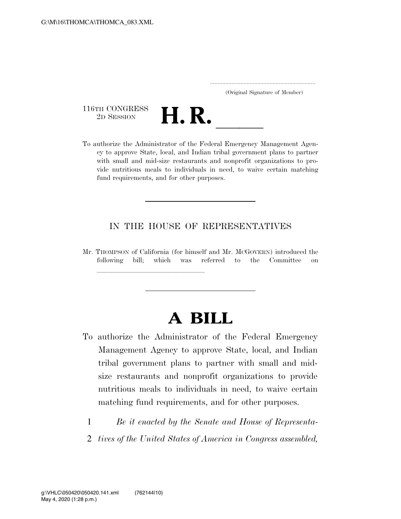..................................................................... (Original Signature of Member)

116TH CONGRESS<br>2D SESSION



116TH CONGRESS<br>
2D SESSION<br>
To authorize the Administrator of the Federal Emergency Management Agency to approve State, local, and Indian tribal government plans to partner with small and mid-size restaurants and nonprofit organizations to provide nutritious meals to individuals in need, to waive certain matching fund requirements, and for other purposes.

## IN THE HOUSE OF REPRESENTATIVES

Mr. THOMPSON of California (for himself and Mr. MCGOVERN) introduced the following bill; which was referred to the Committee on

<del>llille av det stad om det stad om det stad om det stad om det stad om det stad om det stad om det stad om det<br>Stad om det stad om det stad om det stad om det stad om det stad om det stad om der stad om der stad om det st</del>

## **A BILL**

- To authorize the Administrator of the Federal Emergency Management Agency to approve State, local, and Indian tribal government plans to partner with small and midsize restaurants and nonprofit organizations to provide nutritious meals to individuals in need, to waive certain matching fund requirements, and for other purposes.
	- 1 *Be it enacted by the Senate and House of Representa-*
	- 2 *tives of the United States of America in Congress assembled,*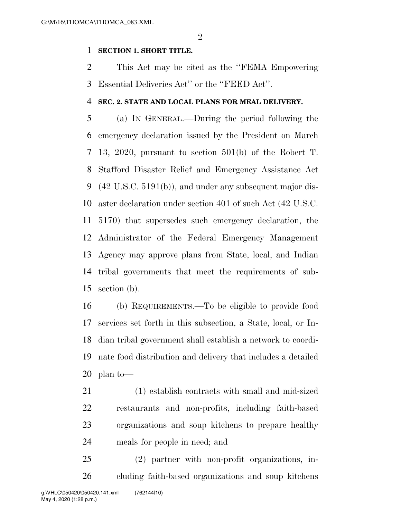$\mathfrak{D}$ 

## **SECTION 1. SHORT TITLE.**

 This Act may be cited as the ''FEMA Empowering Essential Deliveries Act'' or the ''FEED Act''.

## **SEC. 2. STATE AND LOCAL PLANS FOR MEAL DELIVERY.**

 (a) IN GENERAL.—During the period following the emergency declaration issued by the President on March 13, 2020, pursuant to section 501(b) of the Robert T. Stafford Disaster Relief and Emergency Assistance Act (42 U.S.C. 5191(b)), and under any subsequent major dis- aster declaration under section 401 of such Act (42 U.S.C. 5170) that supersedes such emergency declaration, the Administrator of the Federal Emergency Management Agency may approve plans from State, local, and Indian tribal governments that meet the requirements of sub-section (b).

 (b) REQUIREMENTS.—To be eligible to provide food services set forth in this subsection, a State, local, or In- dian tribal government shall establish a network to coordi- nate food distribution and delivery that includes a detailed plan to—

 (1) establish contracts with small and mid-sized restaurants and non-profits, including faith-based organizations and soup kitchens to prepare healthy meals for people in need; and

 (2) partner with non-profit organizations, in-cluding faith-based organizations and soup kitchens